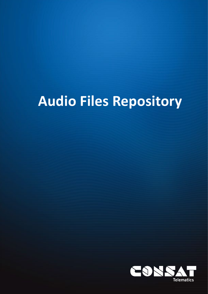# **Audio Files Repository**

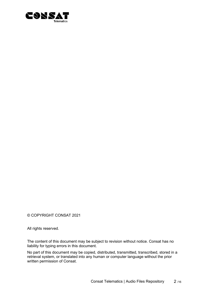

© COPYRIGHT CONSAT 2021

All rights reserved.

The content of this document may be subject to revision without notice. Consat has no liability for typing errors in this document.

No part of this document may be copied, distributed, transmitted, transcribed, stored in a retrieval system, or translated into any human or computer language without the prior written permission of Consat.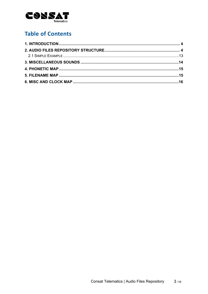

# **Table of Contents**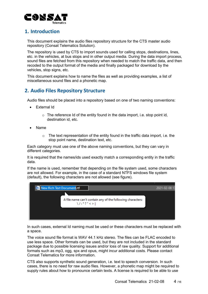

#### <span id="page-3-0"></span>**1. Introduction**

This document explains the audio files repository structure for the CTS master audio repository (Consat Telematics Solution).

The repository is used by CTS to import sounds used for calling stops, destinations, lines, etc. in the vehicles, at bus stops and in other output media. During the data import process, sound files are fetched from this repository when needed to match the traffic data, and then recoded to the output format of the media and finally packaged for download by the vehicles, stop signs, etc.

This document explains how to name the files as well as providing examples, a list of miscellaneous sound files and a phonetic map.

## <span id="page-3-1"></span>**2. Audio Files Repository Structure**

Audio files should be placed into a repository based on one of two naming conventions:

- External Id
	- $\circ$  The reference Id of the entity found in the data import, i.e. stop point id, destination id, etc.
- Name
	- $\circ$  The text representation of the entity found in the traffic data import, i.e. the stop point name, destination text, etc.

Each category must use one of the above naming conventions, but they can vary in different categories.

It is required that the names/ids used exactly match a corresponding entity in the traffic data.

If the name is used, remember that depending on the file system used, some characters are not allowed. For example, in the case of a standard NTFS windows file system (default), the following characters are not allowed (see figure).

| <b>DE New Rich Text Document.rtf</b>                                                | 2021-02-08 13 |
|-------------------------------------------------------------------------------------|---------------|
|                                                                                     |               |
| A file name can't contain any of the following characters:<br>$\setminus$ /:*?" < > |               |
|                                                                                     |               |

In such cases, external Id naming must be used or these characters must be replaced with a space.

The voice sound file format is WAV 44.1 kHz stereo. The files can be FLAC encoded to use less space. Other formats can be used, but they are not included in the standard package due to possible licensing issues and/or loss of raw quality. Support for additional formats such as mp3, ogg, spx and opus, might incur additional costs. Please contact Consat Telematics for more information.

CTS also supports synthetic sound generation, i.e. text to speech conversion. In such cases, there is no need for raw audio files. However, a phonetic map might be required to supply rules about how to pronounce certain texts. A license is required to be able to use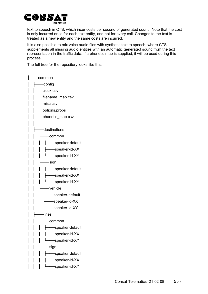

text to speech in CTS, which incur costs per second of generated sound. Note that the cost is only incurred once for each text entity, and not for every call. Changes to the text is treated as a new entity and the same costs are incurred.

It is also possible to mix voice audio files with synthetic text to speech, where CTS supplements all missing audio entities with an automatic generated sound from the text representation in the traffic data. If a phonetic map is supplied, it will be used during this process.

The full tree for the repository looks like this:

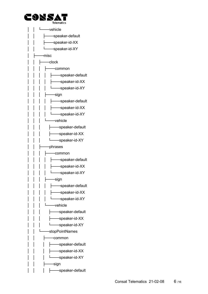

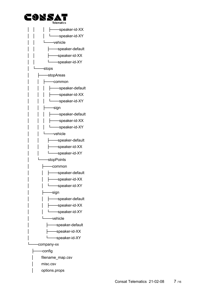

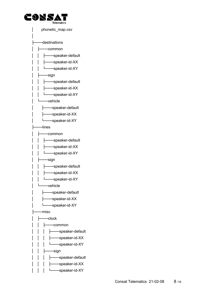

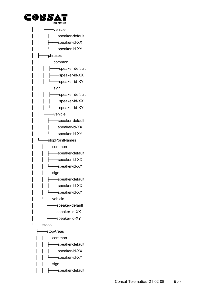

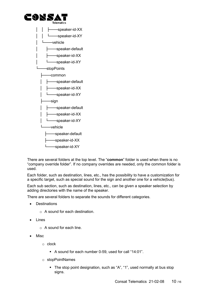



There are several folders at the top level. The "**common**" folder is used when there is no "company override folder". If no company overrides are needed, only the common folder is used.

Each folder, such as destination, lines, etc., has the possibility to have a customization for a specific target, such as special sound for the sign and another one for a vehicle(bus).

Each sub section, such as destination, lines, etc., can be given a speaker selection by adding directories with the name of the speaker.

There are several folders to separate the sounds for different categories.

- **Destinations** 
	- o A sound for each destination.
- Lines
	- o A sound for each line.
- Misc
	- o clock
		- A sound for each number 0-59, used for call "14:01".
	- o stopPointNames
		- The stop point designation, such as "A", "1", used normally at bus stop signs.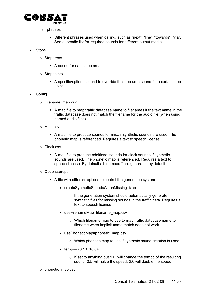

- o phrases
	- Different phrases used when calling, such as "next", "line", "towards", "via". See appendix list for required sounds for different output media.
- **Stops** 
	- o Stopareas
		- A sound for each stop area.
	- o Stoppoints
		- A specific/optional sound to override the stop area sound for a certain stop point.
- Config
	- o Filename\_map.csv
		- A map file to map traffic database name to filenames if the text name in the traffic database does not match the filename for the audio file (when using named audio files)
	- o Misc.csv
		- A map file to produce sounds for misc if synthetic sounds are used. The phonetic map is referenced. Requires a text to speech license
	- o Clock.csv
		- A map file to produce additional sounds for clock sounds if synthetic sounds are used. The phonetic map is referenced. Requires a text to speech license. By default all "numbers" are generated by default.
	- o Options.props
		- A file with different options to control the generation system.
			- createSyntheticSoundsWhenMissing=false
				- $\circ$  If the generation system should automatically generate synthetic files for missing sounds in the traffic data. Requires a text to speech license.
			- useFilenameMap=filename\_map.csv
				- o Which filename map to use to map traffic database name to filename when implicit name match does not work.
			- usePhoneticMap=phonetic map.csv
				- o Which phonetic map to use if synthetic sound creation is used.
			- tempo=<0.10..10.0>
				- $\circ$  If set to anything but 1.0, will change the tempo of the resulting sound. 0.5 will halve the speed, 2.0 will double the speed.
	- o phonetic\_map.csv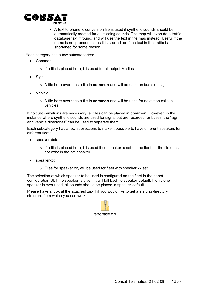

 A text to phonetic conversion file is used if synthetic sounds should be automatically created for all missing sounds. The map will override a traffic database text if found, and will use the text in the map instead. Useful if the name is not pronounced as it is spelled, or if the text in the traffic is shortened for some reason.

Each category has a few subcategories:

- Common
	- $\circ$  If a file is placed here, it is used for all output Medias.
- Sign
	- o A file here overrides a file in **common** and will be used on bus stop sign.
- Vehicle
	- o A file here overrides a file in **common** and will be used for next stop calls in vehicles.

If no customizations are necessary, all files can be placed in **common**. However, in the instance where synthetic sounds are used for signs, but are recorded for buses, the "sign and vehicle directories" can be used to separate them.

Each subcategory has a few subsections to make it possible to have different speakers for different fleets.

- speaker-default
	- $\circ$  If a file is placed here, it is used if no speaker is set on the fleet, or the file does not exist in the set speaker.
- speaker-xx
	- $\circ$  Files for speaker xx, will be used for fleet with speaker xx set.

The selection of which speaker to be used is configured on the fleet in the depot configuration UI. If no speaker is given, it will fall back to speaker-default. If only one speaker is ever used, all sounds should be placed in speaker-default.

Please have a look at the attached zip-fil if you would like to get a starting directory structure from which you can work.

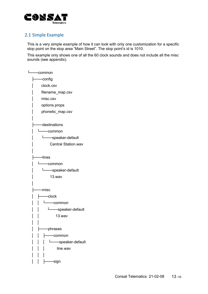

#### <span id="page-12-0"></span>2.1 Simple Example

This is a very simple example of how it can look with only one customization for a specific stop point on the stop area "Main Street". The stop point's id is 1010.

This example only shows one of all the 60 clock sounds and does not include all the misc sounds (see appendix).

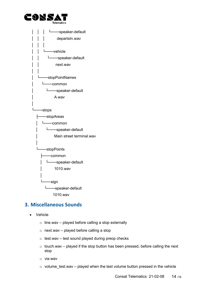![](_page_13_Picture_0.jpeg)

![](_page_13_Figure_1.jpeg)

# <span id="page-13-0"></span>**3. Miscellaneous Sounds**

- Vehicle
	- $\circ$  line.wav played before calling a stop externally
	- o next.wav played before calling a stop
	- $\circ$  test.wav test sound played during preop checks
	- $\circ$  touch.wav played if the stop button has been pressed, before calling the next stop
	- o via.wav
	- $\circ$  volume test.wav played when the test volume button pressed in the vehicle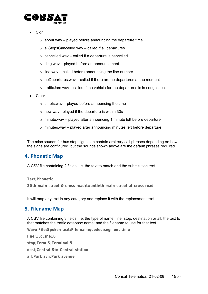![](_page_14_Picture_0.jpeg)

- **Sign** 
	- $\circ$  about.wav played before announcing the departure time
	- $\circ$  allStopsCancelled.wav called if all departures
	- $\circ$  cancelled.wav called if a departure is cancelled
	- $\circ$  ding.wav played before an announcement
	- $\circ$  line.way called before announcing the line number
	- $\circ$  noDepartures.wav called if there are no departures at the moment
	- $\circ$  trafficJam.wav called if the vehicle for the departures is in congestion.
- Clock
	- $\circ$  timels.way played before announcing the time
	- o now.wav –played if the departure is within 30s
	- $\circ$  minute.wav played after announcing 1 minute left before departure
	- $\circ$  minutes.wav played after announcing minutes left before departure

The misc sounds for bus stop signs can contain arbitrary call phrases depending on how the signs are configured, but the sounds shown above are the default phrases required.

#### <span id="page-14-0"></span>**4. Phonetic Map**

A CSV file containing 2 fields, i.e. the text to match and the substitution text.

**Text;Phonetic 20th main street & cross road;twentieth main street at cross road**

It will map any text in any category and replace it with the replacement text.

#### <span id="page-14-1"></span>**5. Filename Map**

A CSV file containing 3 fields, i.e. the type of name, line, stop, destination or all; the text to that matches the traffic database name; and the filename to use for that text.

**Wave File;Spoken text;File name;codec;segment time**

**line;10;Line10 stop;Term 5;Terminal 5 dest;Central Stn;Central station all;Park avn;Park avenue**